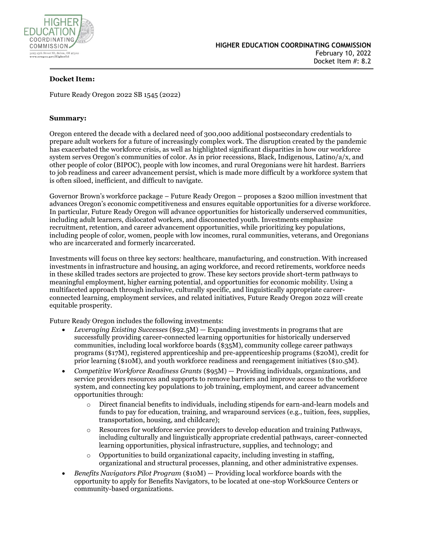

## **Docket Item:**

Future Ready Oregon 2022 SB 1545 (2022)

### **Summary:**

Oregon entered the decade with a declared need of 300,000 additional postsecondary credentials to prepare adult workers for a future of increasingly complex work. The disruption created by the pandemic has exacerbated the workforce crisis, as well as highlighted significant disparities in how our workforce system serves Oregon's communities of color. As in prior recessions, Black, Indigenous, Latino/a/x, and other people of color (BIPOC), people with low incomes, and rural Oregonians were hit hardest. Barriers to job readiness and career advancement persist, which is made more difficult by a workforce system that is often siloed, inefficient, and difficult to navigate.

Governor Brown's workforce package – Future Ready Oregon – proposes a \$200 million investment that advances Oregon's economic competitiveness and ensures equitable opportunities for a diverse workforce. In particular, Future Ready Oregon will advance opportunities for historically underserved communities, including adult learners, dislocated workers, and disconnected youth. Investments emphasize recruitment, retention, and career advancement opportunities, while prioritizing key populations, including people of color, women, people with low incomes, rural communities, veterans, and Oregonians who are incarcerated and formerly incarcerated.

Investments will focus on three key sectors: healthcare, manufacturing, and construction. With increased investments in infrastructure and housing, an aging workforce, and record retirements, workforce needs in these skilled trades sectors are projected to grow. These key sectors provide short-term pathways to meaningful employment, higher earning potential, and opportunities for economic mobility. Using a multifaceted approach through inclusive, culturally specific, and linguistically appropriate careerconnected learning, employment services, and related initiatives, Future Ready Oregon 2022 will create equitable prosperity.

Future Ready Oregon includes the following investments:

- *Leveraging Existing Successes* (\$92.5M) Expanding investments in programs that are successfully providing career-connected learning opportunities for historically underserved communities, including local workforce boards (\$35M), community college career pathways programs (\$17M), registered apprenticeship and pre-apprenticeship programs (\$20M), credit for prior learning (\$10M), and youth workforce readiness and reengagement initiatives (\$10.5M).
- *Competitive Workforce Readiness Grants* (\$95M) Providing individuals, organizations, and service providers resources and supports to remove barriers and improve access to the workforce system, and connecting key populations to job training, employment, and career advancement opportunities through:
	- o Direct financial benefits to individuals, including stipends for earn-and-learn models and funds to pay for education, training, and wraparound services (e.g., tuition, fees, supplies, transportation, housing, and childcare);
	- o Resources for workforce service providers to develop education and training Pathways, including culturally and linguistically appropriate credential pathways, career-connected learning opportunities, physical infrastructure, supplies, and technology; and
	- o Opportunities to build organizational capacity, including investing in staffing, organizational and structural processes, planning, and other administrative expenses.
- *Benefits Navigators Pilot Program* (\$10M) Providing local workforce boards with the opportunity to apply for Benefits Navigators, to be located at one-stop WorkSource Centers or community-based organizations.